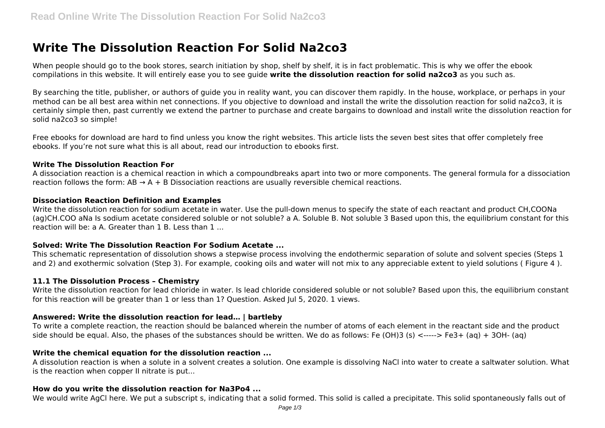# **Write The Dissolution Reaction For Solid Na2co3**

When people should go to the book stores, search initiation by shop, shelf by shelf, it is in fact problematic. This is why we offer the ebook compilations in this website. It will entirely ease you to see guide **write the dissolution reaction for solid na2co3** as you such as.

By searching the title, publisher, or authors of guide you in reality want, you can discover them rapidly. In the house, workplace, or perhaps in your method can be all best area within net connections. If you objective to download and install the write the dissolution reaction for solid na2co3, it is certainly simple then, past currently we extend the partner to purchase and create bargains to download and install write the dissolution reaction for solid na2co3 so simple!

Free ebooks for download are hard to find unless you know the right websites. This article lists the seven best sites that offer completely free ebooks. If you're not sure what this is all about, read our introduction to ebooks first.

#### **Write The Dissolution Reaction For**

A dissociation reaction is a chemical reaction in which a compoundbreaks apart into two or more components. The general formula for a dissociation reaction follows the form:  $AB \rightarrow A + B$  Dissociation reactions are usually reversible chemical reactions.

#### **Dissociation Reaction Definition and Examples**

Write the dissolution reaction for sodium acetate in water. Use the pull-down menus to specify the state of each reactant and product CH,COONa (ag)CH.COO aNa Is sodium acetate considered soluble or not soluble? a A. Soluble B. Not soluble 3 Based upon this, the equilibrium constant for this reaction will be: a A. Greater than 1 B. Less than 1 ...

#### **Solved: Write The Dissolution Reaction For Sodium Acetate ...**

This schematic representation of dissolution shows a stepwise process involving the endothermic separation of solute and solvent species (Steps 1 and 2) and exothermic solvation (Step 3). For example, cooking oils and water will not mix to any appreciable extent to yield solutions ( Figure 4 ).

#### **11.1 The Dissolution Process – Chemistry**

Write the dissolution reaction for lead chloride in water. Is lead chloride considered soluble or not soluble? Based upon this, the equilibrium constant for this reaction will be greater than 1 or less than 1? Question. Asked Jul 5, 2020. 1 views.

#### **Answered: Write the dissolution reaction for lead… | bartleby**

To write a complete reaction, the reaction should be balanced wherein the number of atoms of each element in the reactant side and the product side should be equal. Also, the phases of the substances should be written. We do as follows: Fe (OH)3 (s) <-----> Fe3+ (aq) + 3OH- (aq)

#### **Write the chemical equation for the dissolution reaction ...**

A dissolution reaction is when a solute in a solvent creates a solution. One example is dissolving NaCl into water to create a saltwater solution. What is the reaction when copper II nitrate is put...

#### **How do you write the dissolution reaction for Na3Po4 ...**

We would write AgCl here. We put a subscript s, indicating that a solid formed. This solid is called a precipitate. This solid spontaneously falls out of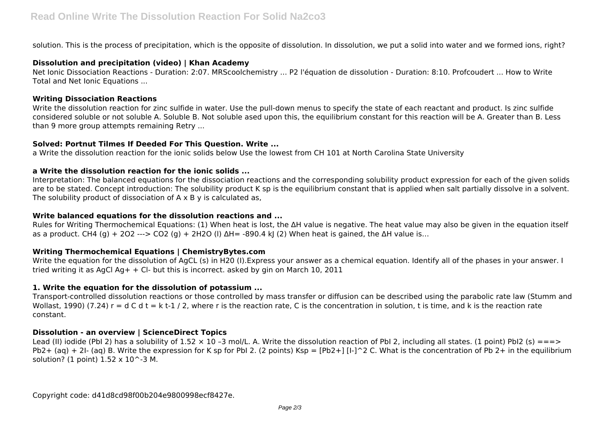solution. This is the process of precipitation, which is the opposite of dissolution. In dissolution, we put a solid into water and we formed ions, right?

#### **Dissolution and precipitation (video) | Khan Academy**

Net Ionic Dissociation Reactions - Duration: 2:07. MRScoolchemistry ... P2 l'équation de dissolution - Duration: 8:10. Profcoudert ... How to Write Total and Net Ionic Equations ...

#### **Writing Dissociation Reactions**

Write the dissolution reaction for zinc sulfide in water. Use the pull-down menus to specify the state of each reactant and product. Is zinc sulfide considered soluble or not soluble A. Soluble B. Not soluble ased upon this, the equilibrium constant for this reaction will be A. Greater than B. Less than 9 more group attempts remaining Retry ...

#### **Solved: Portnut Tilmes If Deeded For This Question. Write ...**

a Write the dissolution reaction for the ionic solids below Use the lowest from CH 101 at North Carolina State University

# **a Write the dissolution reaction for the ionic solids ...**

Interpretation: The balanced equations for the dissociation reactions and the corresponding solubility product expression for each of the given solids are to be stated. Concept introduction: The solubility product K sp is the equilibrium constant that is applied when salt partially dissolve in a solvent. The solubility product of dissociation of  $A \times B$  y is calculated as,

### **Write balanced equations for the dissolution reactions and ...**

Rules for Writing Thermochemical Equations: (1) When heat is lost, the ΔH value is negative. The heat value may also be given in the equation itself as a product. CH4 (g) + 2O2 ---> CO2 (g) + 2H2O (l) ΔH= -890.4 kJ (2) When heat is gained, the ΔH value is...

# **Writing Thermochemical Equations | ChemistryBytes.com**

Write the equation for the dissolution of AgCL (s) in H20 (I). Express your answer as a chemical equation. Identify all of the phases in your answer. I tried writing it as AgCl Ag +  $+$  Cl- but this is incorrect. asked by gin on March 10, 2011

# **1. Write the equation for the dissolution of potassium ...**

Transport-controlled dissolution reactions or those controlled by mass transfer or diffusion can be described using the parabolic rate law (Stumm and Wollast, 1990) (7.24)  $r = d C d t = k t-1/2$ , where r is the reaction rate, C is the concentration in solution, t is time, and k is the reaction rate constant.

# **Dissolution - an overview | ScienceDirect Topics**

Lead (II) iodide (PbI 2) has a solubility of  $1.52 \times 10$  -3 mol/L. A. Write the dissolution reaction of PbI 2, including all states. (1 point) PbI2 (s) ===> Pb2+ (aq) + 2I- (aq) B. Write the expression for K sp for PbI 2. (2 points) Ksp = [Pb2+] [I-]^2 C. What is the concentration of Pb 2+ in the equilibrium solution? (1 point)  $1.52 \times 10$ <sup>^</sup>-3 M.